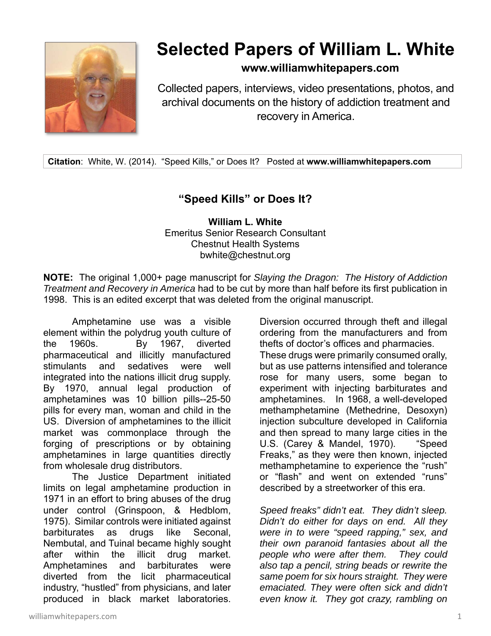

## **Selected Papers of William L. White**

## **www.williamwhitepapers.com**

Collected papers, interviews, video presentations, photos, and archival documents on the history of addiction treatment and recovery in America.

**Citation**: White, W. (2014). "Speed Kills," or Does It? Posted at **www.williamwhitepapers.com**

## **"Speed Kills" or Does It?**

**William L. White**  Emeritus Senior Research Consultant Chestnut Health Systems bwhite@chestnut.org

**NOTE:** The original 1,000+ page manuscript for *Slaying the Dragon: The History of Addiction Treatment and Recovery in America* had to be cut by more than half before its first publication in 1998. This is an edited excerpt that was deleted from the original manuscript.

Amphetamine use was a visible element within the polydrug youth culture of the 1960s. By 1967, diverted pharmaceutical and illicitly manufactured stimulants and sedatives were well integrated into the nations illicit drug supply. By 1970, annual legal production of amphetamines was 10 billion pills--25-50 pills for every man, woman and child in the US. Diversion of amphetamines to the illicit market was commonplace through the forging of prescriptions or by obtaining amphetamines in large quantities directly from wholesale drug distributors.

The Justice Department initiated limits on legal amphetamine production in 1971 in an effort to bring abuses of the drug under control (Grinspoon, & Hedblom, 1975). Similar controls were initiated against barbiturates as drugs like Seconal, Nembutal, and Tuinal became highly sought after within the illicit drug market. Amphetamines and barbiturates were diverted from the licit pharmaceutical industry, "hustled" from physicians, and later produced in black market laboratories.

Diversion occurred through theft and illegal ordering from the manufacturers and from thefts of doctor's offices and pharmacies. These drugs were primarily consumed orally, but as use patterns intensified and tolerance rose for many users, some began to experiment with injecting barbiturates and amphetamines. In 1968, a well-developed methamphetamine (Methedrine, Desoxyn) injection subculture developed in California and then spread to many large cities in the U.S. (Carey & Mandel, 1970). "Speed Freaks," as they were then known, injected methamphetamine to experience the "rush" or "flash" and went on extended "runs" described by a streetworker of this era.

*Speed freaks" didn't eat. They didn't sleep. Didn't do either for days on end. All they were in to were "speed rapping," sex, and their own paranoid fantasies about all the people who were after them. They could also tap a pencil, string beads or rewrite the same poem for six hours straight. They were emaciated. They were often sick and didn't even know it. They got crazy, rambling on*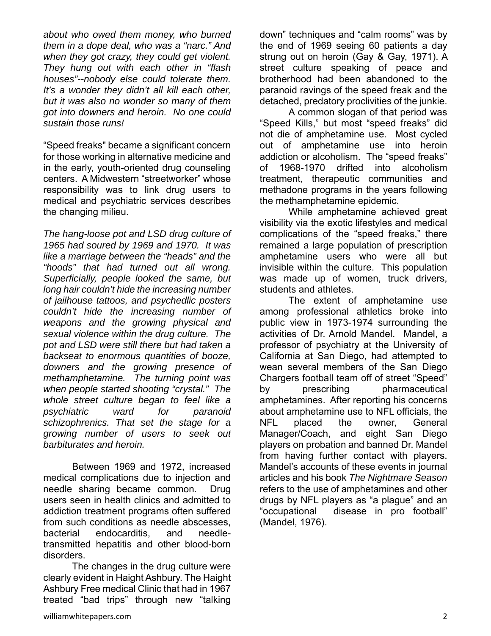*about who owed them money, who burned them in a dope deal, who was a "narc." And when they got crazy, they could get violent. They hung out with each other in "flash houses"--nobody else could tolerate them. It's a wonder they didn't all kill each other, but it was also no wonder so many of them got into downers and heroin. No one could sustain those runs!* 

"Speed freaks" became a significant concern for those working in alternative medicine and in the early, youth-oriented drug counseling centers. A Midwestern "streetworker" whose responsibility was to link drug users to medical and psychiatric services describes the changing milieu.

*The hang-loose pot and LSD drug culture of 1965 had soured by 1969 and 1970. It was like a marriage between the "heads" and the "hoods" that had turned out all wrong. Superficially, people looked the same, but long hair couldn't hide the increasing number of jailhouse tattoos, and psychedlic posters couldn't hide the increasing number of weapons and the growing physical and sexual violence within the drug culture. The pot and LSD were still there but had taken a backseat to enormous quantities of booze, downers and the growing presence of methamphetamine. The turning point was when people started shooting "crystal." The whole street culture began to feel like a psychiatric ward for paranoid schizophrenics. That set the stage for a growing number of users to seek out barbiturates and heroin.* 

Between 1969 and 1972, increased medical complications due to injection and needle sharing became common. Drug users seen in health clinics and admitted to addiction treatment programs often suffered from such conditions as needle abscesses, bacterial endocarditis, and needletransmitted hepatitis and other blood-born disorders.

The changes in the drug culture were clearly evident in Haight Ashbury. The Haight Ashbury Free medical Clinic that had in 1967 treated "bad trips" through new "talking

down" techniques and "calm rooms" was by the end of 1969 seeing 60 patients a day strung out on heroin (Gay & Gay, 1971). A street culture speaking of peace and brotherhood had been abandoned to the paranoid ravings of the speed freak and the detached, predatory proclivities of the junkie.

A common slogan of that period was "Speed Kills," but most "speed freaks" did not die of amphetamine use. Most cycled out of amphetamine use into heroin addiction or alcoholism. The "speed freaks" of 1968-1970 drifted into alcoholism treatment, therapeutic communities and methadone programs in the years following the methamphetamine epidemic.

While amphetamine achieved great visibility via the exotic lifestyles and medical complications of the "speed freaks," there remained a large population of prescription amphetamine users who were all but invisible within the culture. This population was made up of women, truck drivers, students and athletes.

The extent of amphetamine use among professional athletics broke into public view in 1973-1974 surrounding the activities of Dr. Arnold Mandel. Mandel, a professor of psychiatry at the University of California at San Diego, had attempted to wean several members of the San Diego Chargers football team off of street "Speed" by prescribing pharmaceutical amphetamines. After reporting his concerns about amphetamine use to NFL officials, the NFL placed the owner, General Manager/Coach, and eight San Diego players on probation and banned Dr. Mandel from having further contact with players. Mandel's accounts of these events in journal articles and his book *The Nightmare Season* refers to the use of amphetamines and other drugs by NFL players as "a plague" and an "occupational disease in pro football" (Mandel, 1976).